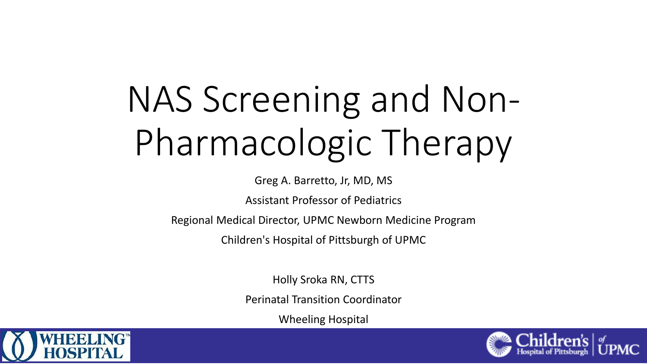# NAS Screening and Non-Pharmacologic Therapy

Greg A. Barretto, Jr, MD, MS

Assistant Professor of Pediatrics

Regional Medical Director, UPMC Newborn Medicine Program

Children's Hospital of Pittsburgh of UPMC

Holly Sroka RN, CTTS

Perinatal Transition Coordinator

Wheeling Hospital



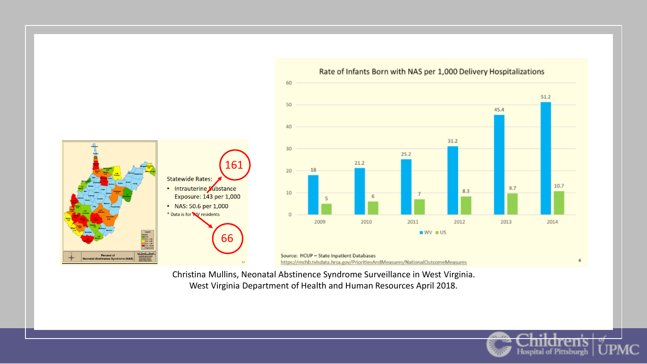

Christina Mullins, Neonatal Abstinence Syndrome Surveillance in West Virginia. West Virginia Department of Health and Human Resources April 2018.

**Hospital of Pittsburgh**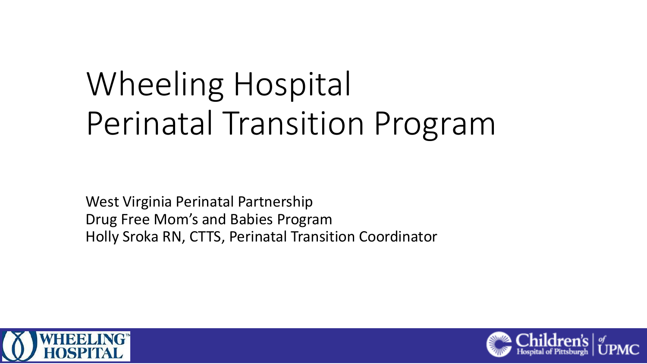# Wheeling Hospital Perinatal Transition Program

West Virginia Perinatal Partnership Drug Free Mom's and Babies Program Holly Sroka RN, CTTS, Perinatal Transition Coordinator



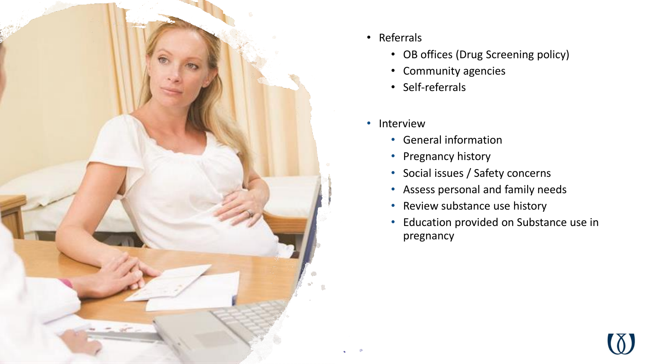

- Referrals
	- OB offices (Drug Screening policy)
	- Community agencies
	- Self-referrals
- Interview
	- General information
	- Pregnancy history
	- Social issues / Safety concerns
	- Assess personal and family needs
	- Review substance use history
	- Education provided on Substance use in pregnancy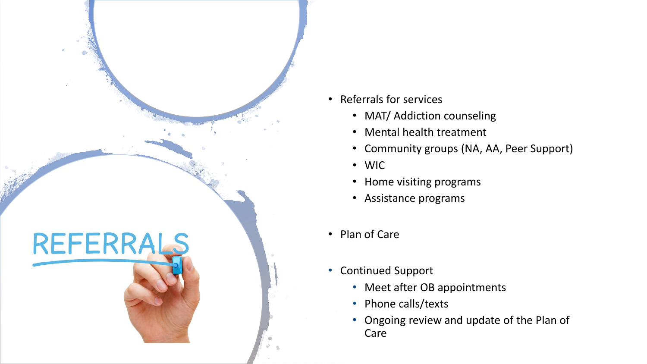

- Referrals for services
	- MAT/ Addiction counseling
	- Mental health treatment
	- Community groups (NA, AA, Peer Support)
	- WIC
	- Home visiting programs
	- Assistance programs
- Plan of Care
- Continued Support
	- Meet after OB appointments
	- Phone calls/texts
	- Ongoing review and update of the Plan of Care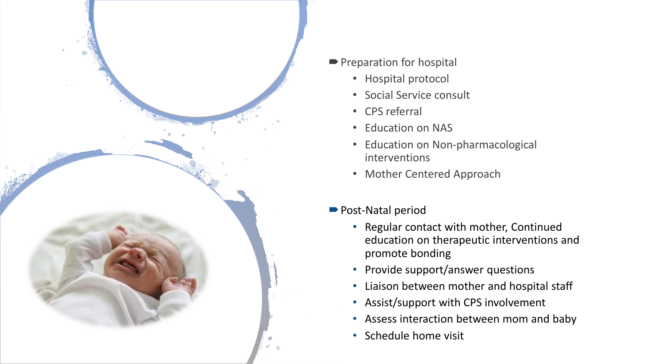

- **Preparation for hospital** 
	- Hospital protocol
	- Social Service consult
	- CPS referral
	- Education on NAS
	- Education on Non-pharmacological interventions
	- Mother Centered Approach
- Post-Natal period
	- Regular contact with mother, Continued education on therapeutic interventions and promote bonding
	- Provide support/answer questions
	- Liaison between mother and hospital staff
	- Assist/support with CPS involvement
	- Assess interaction between mom and baby
	- Schedule home visit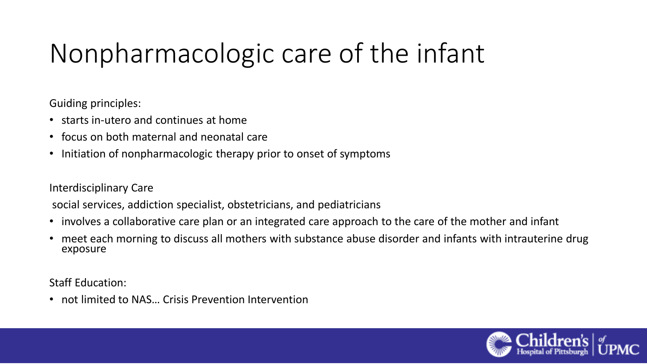Guiding principles:

- starts in-utero and continues at home
- focus on both maternal and neonatal care
- Initiation of nonpharmacologic therapy prior to onset of symptoms

Interdisciplinary Care

social services, addiction specialist, obstetricians, and pediatricians

- involves a collaborative care plan or an integrated care approach to the care of the mother and infant
- meet each morning to discuss all mothers with substance abuse disorder and infants with intrauterine drug exposure

Staff Education:

• not limited to NAS… Crisis Prevention Intervention

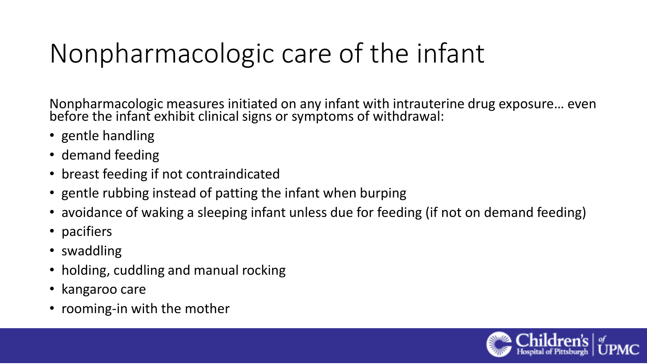Nonpharmacologic measures initiated on any infant with intrauterine drug exposure… even before the infant exhibit clinical signs or symptoms of withdrawal:

- gentle handling
- demand feeding
- breast feeding if not contraindicated
- gentle rubbing instead of patting the infant when burping
- avoidance of waking a sleeping infant unless due for feeding (if not on demand feeding)
- pacifiers
- swaddling
- holding, cuddling and manual rocking
- kangaroo care
- rooming-in with the mother

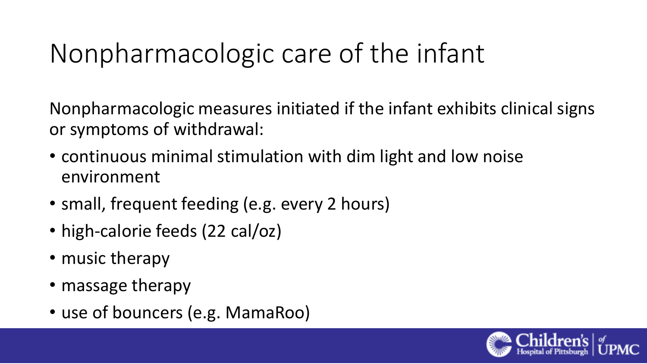Nonpharmacologic measures initiated if the infant exhibits clinical signs or symptoms of withdrawal:

- continuous minimal stimulation with dim light and low noise environment
- small, frequent feeding (e.g. every 2 hours)
- high-calorie feeds (22 cal/oz)
- music therapy
- massage therapy
- use of bouncers (e.g. MamaRoo)

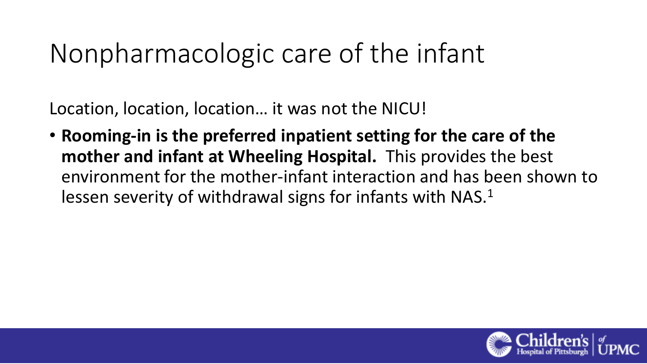Location, location, location… it was not the NICU!

• **Rooming-in is the preferred inpatient setting for the care of the mother and infant at Wheeling Hospital.** This provides the best environment for the mother-infant interaction and has been shown to lessen severity of withdrawal signs for infants with NAS.<sup>1</sup>

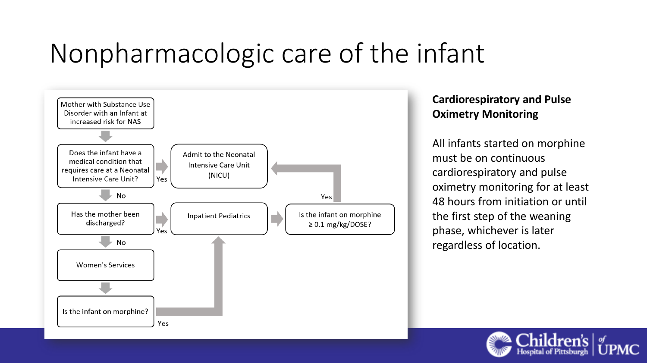

#### **Cardiorespiratory and Pulse Oximetry Monitoring**

All infants started on morphine must be on continuous cardiorespiratory and pulse oximetry monitoring for at least 48 hours from initiation or until the first step of the weaning phase, whichever is later regardless of location.

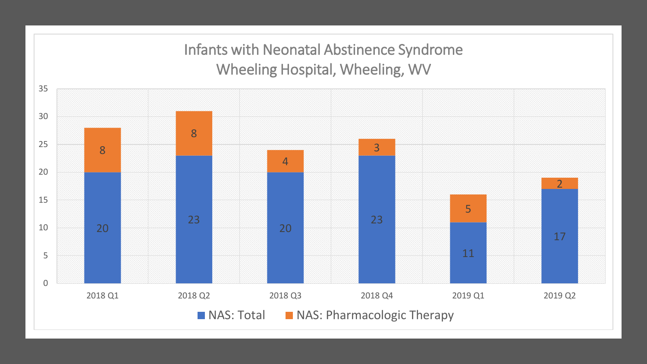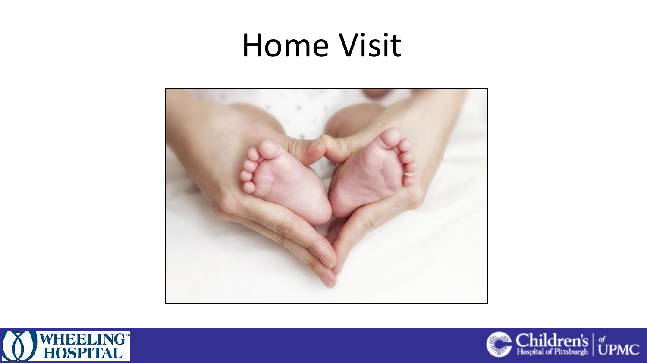# Home Visit





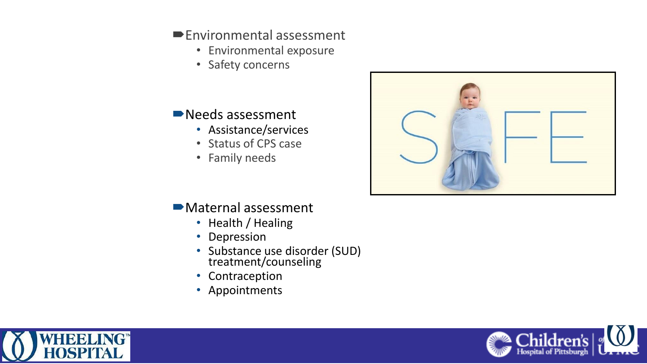#### Environmental assessment

- Environmental exposure
- Safety concerns

### ■Needs assessment

- Assistance/services
- Status of CPS case
- Family needs



### Maternal assessment

- Health / Healing
- Depression
- Substance use disorder (SUD) treatment/counseling
- Contraception
- Appointments